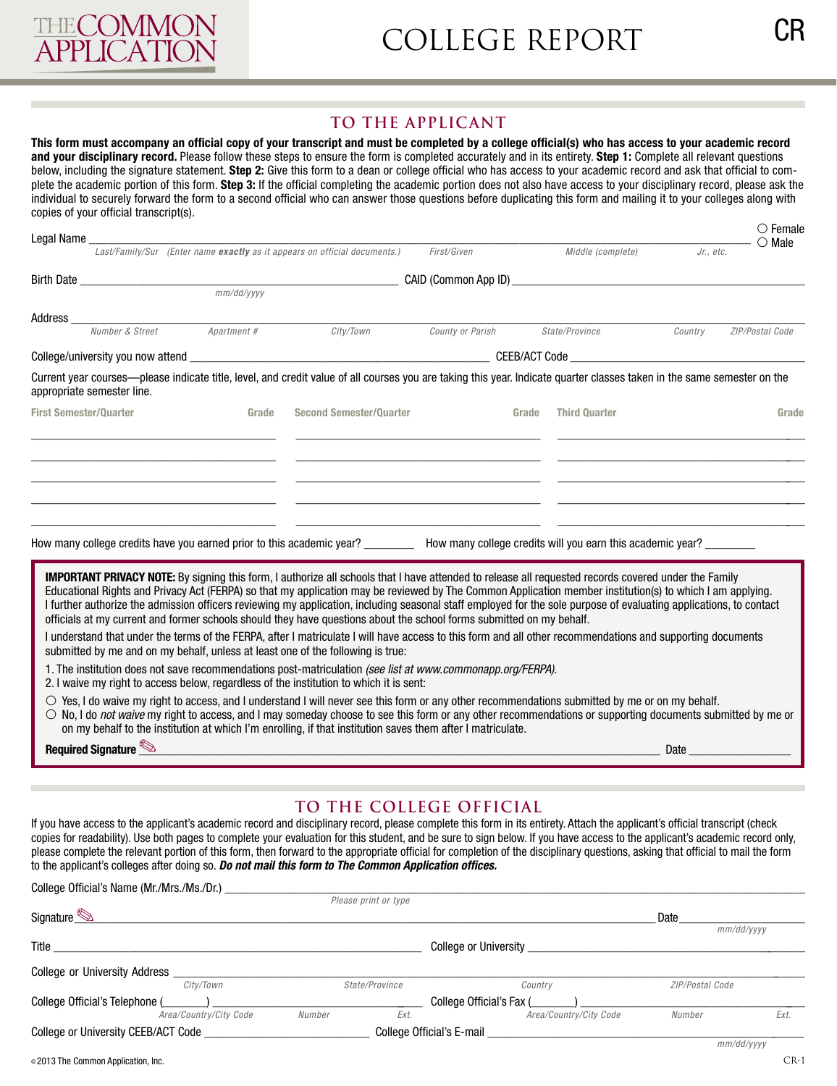

## **To the applicant**

**This form must accompany an official copy of your transcript and must be completed by a college official(s) who has access to your academic record and your disciplinary record.** Please follow these steps to ensure the form is completed accurately and in its entirety. **Step 1:** Complete all relevant questions below, including the signature statement. **Step 2:** Give this form to a dean or college official who has access to your academic record and ask that official to complete the academic portion of this form. **Step 3:** If the official completing the academic portion does not also have access to your disciplinary record, please ask the individual to securely forward the form to a second official who can answer those questions before duplicating this form and mailing it to your colleges along with copies of your official transcript(s).

|                               | Legal Name ______________________ |                                        |                                                                                                                                                                                                                                                                                                                                                                                                                                                 |                  |       |                      |           | $\circ$ Female<br>$\bigcirc$ Male |
|-------------------------------|-----------------------------------|----------------------------------------|-------------------------------------------------------------------------------------------------------------------------------------------------------------------------------------------------------------------------------------------------------------------------------------------------------------------------------------------------------------------------------------------------------------------------------------------------|------------------|-------|----------------------|-----------|-----------------------------------|
|                               |                                   |                                        | Last/Family/Sur (Enter name exactly as it appears on official documents.)                                                                                                                                                                                                                                                                                                                                                                       | First/Given      |       | Middle (complete)    | Jr., etc. |                                   |
|                               |                                   |                                        |                                                                                                                                                                                                                                                                                                                                                                                                                                                 |                  |       |                      |           |                                   |
|                               |                                   |                                        |                                                                                                                                                                                                                                                                                                                                                                                                                                                 |                  |       |                      |           |                                   |
| Address_                      |                                   | <b>Number &amp; Street</b> Apartment # |                                                                                                                                                                                                                                                                                                                                                                                                                                                 |                  |       |                      |           |                                   |
|                               |                                   |                                        | City/Town                                                                                                                                                                                                                                                                                                                                                                                                                                       | County or Parish |       | State/Province       | Country   | ZIP/Postal Code                   |
|                               |                                   |                                        |                                                                                                                                                                                                                                                                                                                                                                                                                                                 |                  |       |                      |           |                                   |
|                               | appropriate semester line.        |                                        | Current year courses—please indicate title, level, and credit value of all courses you are taking this year. Indicate quarter classes taken in the same semester on the                                                                                                                                                                                                                                                                         |                  |       |                      |           |                                   |
| <b>First Semester/Quarter</b> |                                   | Grade                                  | <b>Second Semester/Ouarter</b>                                                                                                                                                                                                                                                                                                                                                                                                                  |                  | Grade | <b>Third Quarter</b> |           | Grade                             |
|                               |                                   |                                        |                                                                                                                                                                                                                                                                                                                                                                                                                                                 |                  |       |                      |           |                                   |
|                               |                                   |                                        |                                                                                                                                                                                                                                                                                                                                                                                                                                                 |                  |       |                      |           |                                   |
|                               |                                   |                                        |                                                                                                                                                                                                                                                                                                                                                                                                                                                 |                  |       |                      |           |                                   |
|                               |                                   |                                        |                                                                                                                                                                                                                                                                                                                                                                                                                                                 |                  |       |                      |           |                                   |
|                               |                                   |                                        |                                                                                                                                                                                                                                                                                                                                                                                                                                                 |                  |       |                      |           |                                   |
|                               |                                   |                                        | How many college credits have you earned prior to this academic year? ___________ How many college credits will you earn this academic year? _________                                                                                                                                                                                                                                                                                          |                  |       |                      |           |                                   |
|                               |                                   |                                        |                                                                                                                                                                                                                                                                                                                                                                                                                                                 |                  |       |                      |           |                                   |
|                               |                                   |                                        | <b>IMPORTANT PRIVACY NOTE:</b> By signing this form, I authorize all schools that I have attended to release all requested records covered under the Family                                                                                                                                                                                                                                                                                     |                  |       |                      |           |                                   |
|                               |                                   |                                        | Educational Rights and Privacy Act (FERPA) so that my application may be reviewed by The Common Application member institution(s) to which I am applying.<br>I further authorize the admission officers reviewing my application, including seasonal staff employed for the sole purpose of evaluating applications, to contact                                                                                                                 |                  |       |                      |           |                                   |
|                               |                                   |                                        | officials at my current and former schools should they have questions about the school forms submitted on my behalf.                                                                                                                                                                                                                                                                                                                            |                  |       |                      |           |                                   |
|                               |                                   |                                        | I understand that under the terms of the FERPA, after I matriculate I will have access to this form and all other recommendations and supporting documents                                                                                                                                                                                                                                                                                      |                  |       |                      |           |                                   |
|                               |                                   |                                        | submitted by me and on my behalf, unless at least one of the following is true:                                                                                                                                                                                                                                                                                                                                                                 |                  |       |                      |           |                                   |
|                               |                                   |                                        | 1. The institution does not save recommendations post-matriculation (see list at www.commonapp.org/FERPA).<br>2. I waive my right to access below, regardless of the institution to which it is sent:                                                                                                                                                                                                                                           |                  |       |                      |           |                                   |
|                               |                                   |                                        | $\circ$ Yes, I do waive my right to access, and I understand I will never see this form or any other recommendations submitted by me or on my behalf.<br>$\circ$ No, I do <i>not waive</i> my right to access, and I may someday choose to see this form or any other recommendations or supporting documents submitted by me or<br>on my behalf to the institution at which I'm enrolling, if that institution saves them after I matriculate. |                  |       |                      |           |                                   |
|                               | Required Signature <sup>(%)</sup> |                                        |                                                                                                                                                                                                                                                                                                                                                                                                                                                 |                  |       |                      | Date      |                                   |

## **To the COLLEGE OFFICIAL**

If you have access to the applicant's academic record and disciplinary record, please complete this form in its entirety. Attach the applicant's official transcript (check copies for readability). Use both pages to complete your evaluation for this student, and be sure to sign below. If you have access to the applicant's academic record only, please complete the relevant portion of this form, then forward to the appropriate official for completion of the disciplinary questions, asking that official to mail the form to the applicant's colleges after doing so. *Do not mail this form to The Common Application offices.*

| College Official's Name (Mr./Mrs./Ms./Dr.) |                              |                      |                           |                 |            |
|--------------------------------------------|------------------------------|----------------------|---------------------------|-----------------|------------|
|                                            |                              | Please print or type |                           |                 |            |
| Signature                                  |                              |                      |                           | Date            |            |
|                                            |                              |                      |                           |                 | mm/dd/yyyy |
| Title                                      | <b>College or University</b> |                      |                           |                 |            |
| College or University Address _            |                              |                      |                           |                 |            |
| City/Town                                  |                              | State/Province       | Country                   | ZIP/Postal Code |            |
| College Official's Telephone (             |                              |                      | College Official's Fax (  |                 |            |
| Area/Country/City Code                     | Number                       | Ext.                 | Area/Country/City Code    | Number          | Ext.       |
| <b>College or University CEEB/ACT Code</b> |                              |                      | College Official's E-mail |                 |            |
|                                            |                              |                      |                           |                 | mm/dd/yyyy |
| © 2013 The Common Application. Inc.        |                              |                      |                           |                 | $CR-1$     |